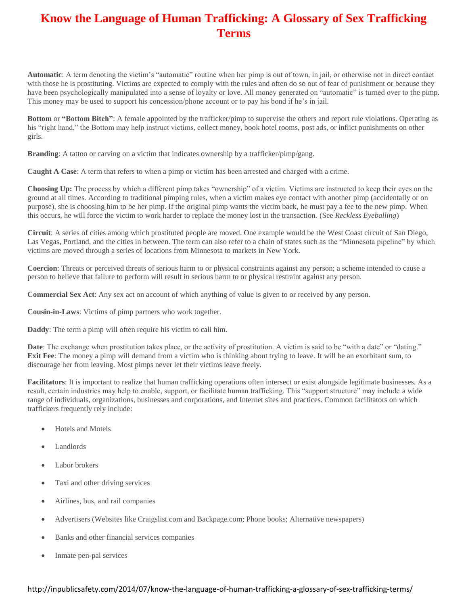## **Know the Language of Human Trafficking: A Glossary of Sex Trafficking Terms**

**Automatic**: A term denoting the victim's "automatic" routine when her pimp is out of town, in jail, or otherwise not in direct contact with those he is prostituting. Victims are expected to comply with the rules and often do so out of fear of punishment or because they have been psychologically manipulated into a sense of loyalty or love. All money generated on "automatic" is turned over to the pimp. This money may be used to support his concession/phone account or to pay his bond if he's in jail.

**Bottom** or **"Bottom Bitch"**: A female appointed by the trafficker/pimp to supervise the others and report rule violations. Operating as his "right hand," the Bottom may help instruct victims, collect money, book hotel rooms, post ads, or inflict punishments on other girls.

**Branding**: A tattoo or carving on a victim that indicates ownership by a trafficker/pimp/gang.

**Caught A Case**: A term that refers to when a pimp or victim has been arrested and charged with a crime.

**Choosing Up:** The process by which a different pimp takes "ownership" of a victim. Victims are instructed to keep their eyes on the ground at all times. According to traditional pimping rules, when a victim makes eye contact with another pimp (accidentally or on purpose), she is choosing him to be her pimp. If the original pimp wants the victim back, he must pay a fee to the new pimp. When this occurs, he will force the victim to work harder to replace the money lost in the transaction. (See *Reckless Eyeballing*)

**Circuit**: A series of cities among which prostituted people are moved. One example would be the West Coast circuit of San Diego, Las Vegas, Portland, and the cities in between. The term can also refer to a chain of states such as the "Minnesota pipeline" by which victims are moved through a series of locations from Minnesota to markets in New York.

**Coercion**: Threats or perceived threats of serious harm to or physical constraints against any person; a scheme intended to cause a person to believe that failure to perform will result in serious harm to or physical restraint against any person.

**Commercial Sex Act**: Any sex act on account of which anything of value is given to or received by any person.

**Cousin-in-Laws**: Victims of pimp partners who work together.

**Daddy**: The term a pimp will often require his victim to call him.

**Date**: The exchange when prostitution takes place, or the activity of prostitution. A victim is said to be "with a date" or "dating." **Exit Fee**: The money a pimp will demand from a victim who is thinking about trying to leave. It will be an exorbitant sum, to discourage her from leaving. Most pimps never let their victims leave freely.

**Facilitators**: It is important to realize that human trafficking operations often intersect or exist alongside legitimate businesses. As a result, certain industries may help to enable, support, or facilitate human trafficking. This "support structure" may include a wide range of individuals, organizations, businesses and corporations, and Internet sites and practices. Common facilitators on which traffickers frequently rely include:

- Hotels and Motels
- Landlords
- Labor brokers
- Taxi and other driving services
- Airlines, bus, and rail companies
- Advertisers (Websites like Craigslist.com and Backpage.com; Phone books; Alternative newspapers)
- Banks and other financial services companies
- Inmate pen-pal services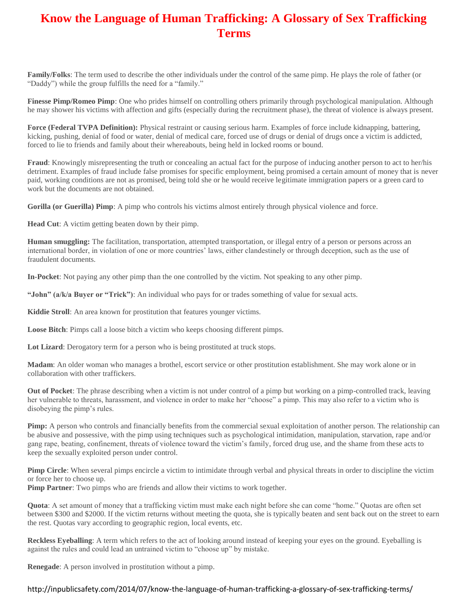## **Know the Language of Human Trafficking: A Glossary of Sex Trafficking Terms**

**Family/Folks**: The term used to describe the other individuals under the control of the same pimp. He plays the role of father (or "Daddy") while the group fulfills the need for a "family."

**Finesse Pimp/Romeo Pimp**: One who prides himself on controlling others primarily through psychological manipulation. Although he may shower his victims with affection and gifts (especially during the recruitment phase), the threat of violence is always present.

**Force (Federal TVPA Definition):** Physical restraint or causing serious harm. Examples of force include kidnapping, battering, kicking, pushing, denial of food or water, denial of medical care, forced use of drugs or denial of drugs once a victim is addicted, forced to lie to friends and family about their whereabouts, being held in locked rooms or bound.

**Fraud**: Knowingly misrepresenting the truth or concealing an actual fact for the purpose of inducing another person to act to her/his detriment. Examples of fraud include false promises for specific employment, being promised a certain amount of money that is never paid, working conditions are not as promised, being told she or he would receive legitimate immigration papers or a green card to work but the documents are not obtained.

**Gorilla (or Guerilla) Pimp**: A pimp who controls his victims almost entirely through physical violence and force.

**Head Cut**: A victim getting beaten down by their pimp.

**Human smuggling:** The facilitation, transportation, attempted transportation, or illegal entry of a person or persons across an international border, in violation of one or more countries' laws, either clandestinely or through deception, such as the use of fraudulent documents.

**In-Pocket**: Not paying any other pimp than the one controlled by the victim. Not speaking to any other pimp.

**"John" (a/k/a Buyer or "Trick")**: An individual who pays for or trades something of value for sexual acts.

**Kiddie Stroll**: An area known for prostitution that features younger victims.

**Loose Bitch**: Pimps call a loose bitch a victim who keeps choosing different pimps.

Lot Lizard: Derogatory term for a person who is being prostituted at truck stops.

**Madam**: An older woman who manages a brothel, escort service or other prostitution establishment. She may work alone or in collaboration with other traffickers.

**Out of Pocket**: The phrase describing when a victim is not under control of a pimp but working on a pimp-controlled track, leaving her vulnerable to threats, harassment, and violence in order to make her "choose" a pimp. This may also refer to a victim who is disobeying the pimp's rules.

**Pimp:** A person who controls and financially benefits from the commercial sexual exploitation of another person. The relationship can be abusive and possessive, with the pimp using techniques such as psychological intimidation, manipulation, starvation, rape and/or gang rape, beating, confinement, threats of violence toward the victim's family, forced drug use, and the shame from these acts to keep the sexually exploited person under control.

**Pimp Circle**: When several pimps encircle a victim to intimidate through verbal and physical threats in order to discipline the victim or force her to choose up.

**Pimp Partner**: Two pimps who are friends and allow their victims to work together.

**Quota**: A set amount of money that a trafficking victim must make each night before she can come "home." Quotas are often set between \$300 and \$2000. If the victim returns without meeting the quota, she is typically beaten and sent back out on the street to earn the rest. Quotas vary according to geographic region, local events, etc.

**Reckless Eyeballing**: A term which refers to the act of looking around instead of keeping your eyes on the ground. Eyeballing is against the rules and could lead an untrained victim to "choose up" by mistake.

**Renegade**: A person involved in prostitution without a pimp.

## http://inpublicsafety.com/2014/07/know-the-language-of-human-trafficking-a-glossary-of-sex-trafficking-terms/